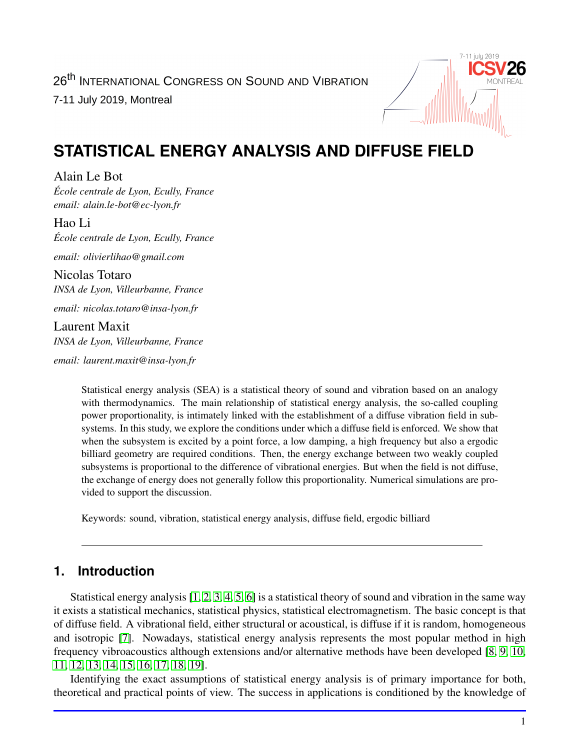

# **STATISTICAL ENERGY ANALYSIS AND DIFFUSE FIELD**

Alain Le Bot *École centrale de Lyon, Ecully, France email: alain.le-bot@ec-lyon.fr*

Hao Li *École centrale de Lyon, Ecully, France*

*email: olivierlihao@gmail.com*

Nicolas Totaro *INSA de Lyon, Villeurbanne, France*

*email: nicolas.totaro@insa-lyon.fr*

Laurent Maxit *INSA de Lyon, Villeurbanne, France*

*email: laurent.maxit@insa-lyon.fr*

Statistical energy analysis (SEA) is a statistical theory of sound and vibration based on an analogy with thermodynamics. The main relationship of statistical energy analysis, the so-called coupling power proportionality, is intimately linked with the establishment of a diffuse vibration field in subsystems. In this study, we explore the conditions under which a diffuse field is enforced. We show that when the subsystem is excited by a point force, a low damping, a high frequency but also a ergodic billiard geometry are required conditions. Then, the energy exchange between two weakly coupled subsystems is proportional to the difference of vibrational energies. But when the field is not diffuse, the exchange of energy does not generally follow this proportionality. Numerical simulations are provided to support the discussion.

Keywords: sound, vibration, statistical energy analysis, diffuse field, ergodic billiard

# **1. Introduction**

Statistical energy analysis [\[1,](#page-4-0) [2,](#page-4-1) [3,](#page-4-2) [4,](#page-4-3) [5,](#page-4-4) [6\]](#page-4-5) is a statistical theory of sound and vibration in the same way it exists a statistical mechanics, statistical physics, statistical electromagnetism. The basic concept is that of diffuse field. A vibrational field, either structural or acoustical, is diffuse if it is random, homogeneous and isotropic [\[7\]](#page-4-6). Nowadays, statistical energy analysis represents the most popular method in high frequency vibroacoustics although extensions and/or alternative methods have been developed [\[8,](#page-4-7) [9,](#page-4-8) [10,](#page-4-9) [11,](#page-4-10) [12,](#page-4-11) [13,](#page-4-12) [14,](#page-5-0) [15,](#page-5-1) [16,](#page-5-2) [17,](#page-5-3) [18,](#page-5-4) [19\]](#page-5-5).

Identifying the exact assumptions of statistical energy analysis is of primary importance for both, theoretical and practical points of view. The success in applications is conditioned by the knowledge of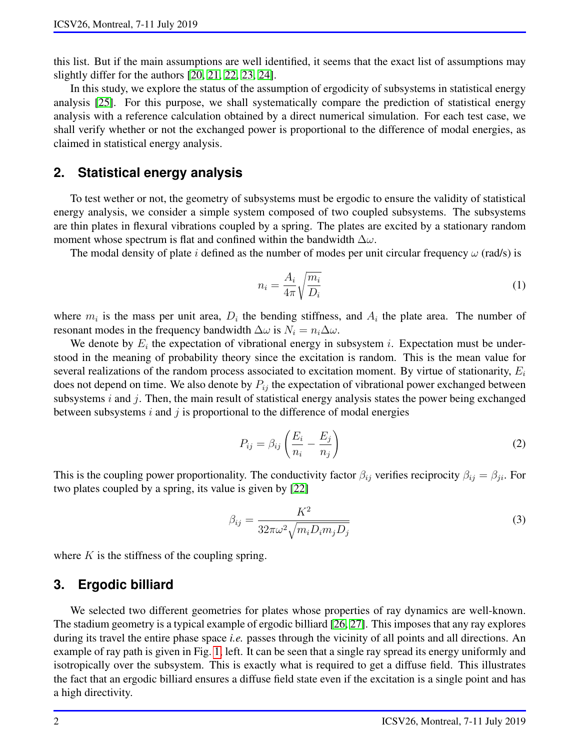this list. But if the main assumptions are well identified, it seems that the exact list of assumptions may slightly differ for the authors [\[20,](#page-5-6) [21,](#page-5-7) [22,](#page-5-8) [23,](#page-5-9) [24\]](#page-5-10).

In this study, we explore the status of the assumption of ergodicity of subsystems in statistical energy analysis [\[25\]](#page-5-11). For this purpose, we shall systematically compare the prediction of statistical energy analysis with a reference calculation obtained by a direct numerical simulation. For each test case, we shall verify whether or not the exchanged power is proportional to the difference of modal energies, as claimed in statistical energy analysis.

## **2. Statistical energy analysis**

To test wether or not, the geometry of subsystems must be ergodic to ensure the validity of statistical energy analysis, we consider a simple system composed of two coupled subsystems. The subsystems are thin plates in flexural vibrations coupled by a spring. The plates are excited by a stationary random moment whose spectrum is flat and confined within the bandwidth  $\Delta\omega$ .

The modal density of plate i defined as the number of modes per unit circular frequency  $\omega$  (rad/s) is

$$
n_i = \frac{A_i}{4\pi} \sqrt{\frac{m_i}{D_i}}\tag{1}
$$

where  $m_i$  is the mass per unit area,  $D_i$  the bending stiffness, and  $A_i$  the plate area. The number of resonant modes in the frequency bandwidth  $\Delta\omega$  is  $N_i = n_i\Delta\omega$ .

We denote by  $E_i$  the expectation of vibrational energy in subsystem i. Expectation must be understood in the meaning of probability theory since the excitation is random. This is the mean value for several realizations of the random process associated to excitation moment. By virtue of stationarity,  $E_i$ does not depend on time. We also denote by  $P_{ij}$  the expectation of vibrational power exchanged between subsystems  $i$  and  $j$ . Then, the main result of statistical energy analysis states the power being exchanged between subsystems  $i$  and  $j$  is proportional to the difference of modal energies

<span id="page-1-1"></span>
$$
P_{ij} = \beta_{ij} \left( \frac{E_i}{n_i} - \frac{E_j}{n_j} \right) \tag{2}
$$

This is the coupling power proportionality. The conductivity factor  $\beta_{ij}$  verifies reciprocity  $\beta_{ij} = \beta_{ji}$ . For two plates coupled by a spring, its value is given by [\[22\]](#page-5-8)

<span id="page-1-0"></span>
$$
\beta_{ij} = \frac{K^2}{32\pi\omega^2 \sqrt{m_i D_i m_j D_j}}\tag{3}
$$

where  $K$  is the stiffness of the coupling spring.

## **3. Ergodic billiard**

We selected two different geometries for plates whose properties of ray dynamics are well-known. The stadium geometry is a typical example of ergodic billiard [\[26,](#page-5-12) [27\]](#page-5-13). This imposes that any ray explores during its travel the entire phase space *i.e.* passes through the vicinity of all points and all directions. An example of ray path is given in Fig. [1,](#page-2-0) left. It can be seen that a single ray spread its energy uniformly and isotropically over the subsystem. This is exactly what is required to get a diffuse field. This illustrates the fact that an ergodic billiard ensures a diffuse field state even if the excitation is a single point and has a high directivity.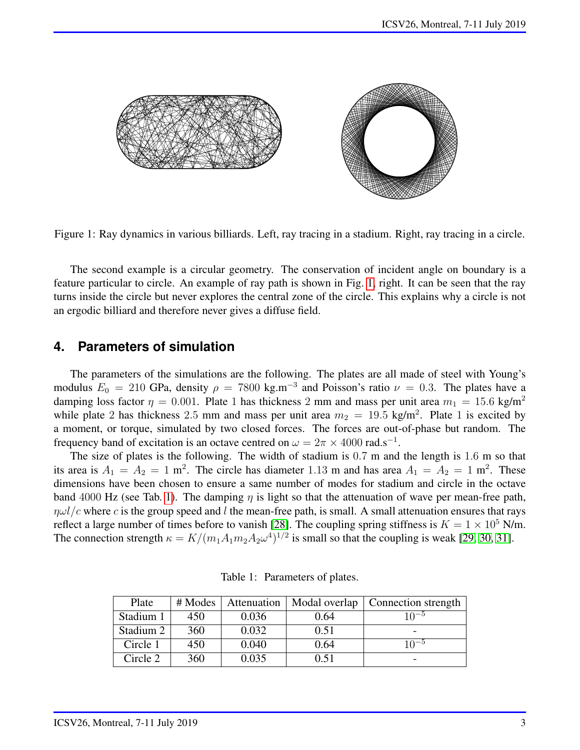

Figure 1: Ray dynamics in various billiards. Left, ray tracing in a stadium. Right, ray tracing in a circle.

<span id="page-2-0"></span>The second example is a circular geometry. The conservation of incident angle on boundary is a feature particular to circle. An example of ray path is shown in Fig. [1,](#page-2-0) right. It can be seen that the ray turns inside the circle but never explores the central zone of the circle. This explains why a circle is not an ergodic billiard and therefore never gives a diffuse field.

### **4. Parameters of simulation**

The parameters of the simulations are the following. The plates are all made of steel with Young's modulus  $E_0 = 210$  GPa, density  $\rho = 7800$  kg.m<sup>-3</sup> and Poisson's ratio  $\nu = 0.3$ . The plates have a damping loss factor  $\eta = 0.001$ . Plate 1 has thickness 2 mm and mass per unit area  $m_1 = 15.6$  kg/m<sup>2</sup> while plate 2 has thickness 2.5 mm and mass per unit area  $m_2 = 19.5 \text{ kg/m}^2$ . Plate 1 is excited by a moment, or torque, simulated by two closed forces. The forces are out-of-phase but random. The frequency band of excitation is an octave centred on  $\omega = 2\pi \times 4000 \text{ rad.s}^{-1}$ .

The size of plates is the following. The width of stadium is 0.7 m and the length is 1.6 m so that its area is  $A_1 = A_2 = 1$  m<sup>2</sup>. The circle has diameter 1.13 m and has area  $A_1 = A_2 = 1$  m<sup>2</sup>. These dimensions have been chosen to ensure a same number of modes for stadium and circle in the octave band 4000 Hz (see Tab. [1\)](#page-2-1). The damping  $\eta$  is light so that the attenuation of wave per mean-free path,  $\eta \omega l/c$  where c is the group speed and l the mean-free path, is small. A small attenuation ensures that rays reflect a large number of times before to vanish [\[28\]](#page-5-14). The coupling spring stiffness is  $K = 1 \times 10^5$  N/m. The connection strength  $\kappa = K/(m_1 A_1 m_2 A_2 \omega^4)^{1/2}$  is small so that the coupling is weak [\[29,](#page-5-15) [30,](#page-5-16) [31\]](#page-5-17).

| Plate     | # Modes | Attenuation | Modal overlap | Connection strength |
|-----------|---------|-------------|---------------|---------------------|
| Stadium 1 | 450     | 0.036       | 0.64          | $10^{-5}$           |
| Stadium 2 | 360     | 0.032       | 0.51          |                     |
| Circle 1  | 450     | 0.040       | 0.64          | $10^{-5}$           |
| Circle 2  | 360     | 0.035       | 0.51          |                     |

<span id="page-2-1"></span>Table 1: Parameters of plates.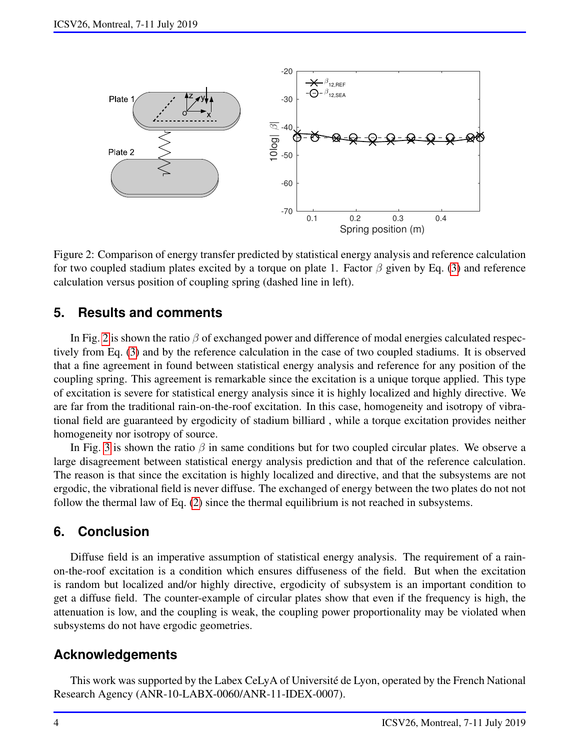

<span id="page-3-0"></span>Figure 2: Comparison of energy transfer predicted by statistical energy analysis and reference calculation for two coupled stadium plates excited by a torque on plate 1. Factor  $\beta$  given by Eq. [\(3\)](#page-1-0) and reference calculation versus position of coupling spring (dashed line in left).

#### **5. Results and comments**

In Fig. [2](#page-3-0) is shown the ratio  $\beta$  of exchanged power and difference of modal energies calculated respectively from Eq. [\(3\)](#page-1-0) and by the reference calculation in the case of two coupled stadiums. It is observed that a fine agreement in found between statistical energy analysis and reference for any position of the coupling spring. This agreement is remarkable since the excitation is a unique torque applied. This type of excitation is severe for statistical energy analysis since it is highly localized and highly directive. We are far from the traditional rain-on-the-roof excitation. In this case, homogeneity and isotropy of vibrational field are guaranteed by ergodicity of stadium billiard , while a torque excitation provides neither homogeneity nor isotropy of source.

In Fig. [3](#page-4-13) is shown the ratio  $\beta$  in same conditions but for two coupled circular plates. We observe a large disagreement between statistical energy analysis prediction and that of the reference calculation. The reason is that since the excitation is highly localized and directive, and that the subsystems are not ergodic, the vibrational field is never diffuse. The exchanged of energy between the two plates do not not follow the thermal law of Eq. [\(2\)](#page-1-1) since the thermal equilibrium is not reached in subsystems.

# **6. Conclusion**

Diffuse field is an imperative assumption of statistical energy analysis. The requirement of a rainon-the-roof excitation is a condition which ensures diffuseness of the field. But when the excitation is random but localized and/or highly directive, ergodicity of subsystem is an important condition to get a diffuse field. The counter-example of circular plates show that even if the frequency is high, the attenuation is low, and the coupling is weak, the coupling power proportionality may be violated when subsystems do not have ergodic geometries.

#### **Acknowledgements**

This work was supported by the Labex CeLyA of Université de Lyon, operated by the French National Research Agency (ANR-10-LABX-0060/ANR-11-IDEX-0007).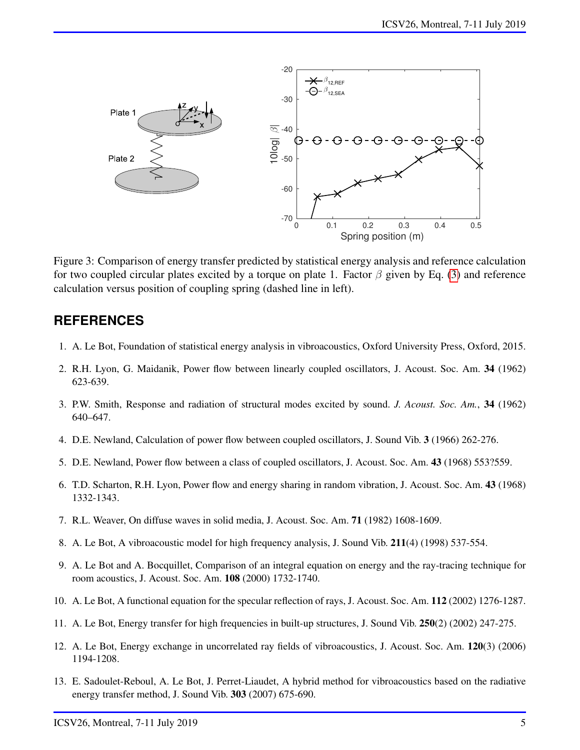

<span id="page-4-13"></span>Figure 3: Comparison of energy transfer predicted by statistical energy analysis and reference calculation for two coupled circular plates excited by a torque on plate 1. Factor  $\beta$  given by Eq. [\(3\)](#page-1-0) and reference calculation versus position of coupling spring (dashed line in left).

### **REFERENCES**

- <span id="page-4-0"></span>1. A. Le Bot, Foundation of statistical energy analysis in vibroacoustics, Oxford University Press, Oxford, 2015.
- <span id="page-4-1"></span>2. R.H. Lyon, G. Maidanik, Power flow between linearly coupled oscillators, J. Acoust. Soc. Am. 34 (1962) 623-639.
- <span id="page-4-2"></span>3. P.W. Smith, Response and radiation of structural modes excited by sound. *J. Acoust. Soc. Am.*, 34 (1962) 640–647.
- <span id="page-4-3"></span>4. D.E. Newland, Calculation of power flow between coupled oscillators, J. Sound Vib. 3 (1966) 262-276.
- <span id="page-4-4"></span>5. D.E. Newland, Power flow between a class of coupled oscillators, J. Acoust. Soc. Am. 43 (1968) 553?559.
- <span id="page-4-5"></span>6. T.D. Scharton, R.H. Lyon, Power flow and energy sharing in random vibration, J. Acoust. Soc. Am. 43 (1968) 1332-1343.
- <span id="page-4-6"></span>7. R.L. Weaver, On diffuse waves in solid media, J. Acoust. Soc. Am. 71 (1982) 1608-1609.
- <span id="page-4-7"></span>8. A. Le Bot, A vibroacoustic model for high frequency analysis, J. Sound Vib. 211(4) (1998) 537-554.
- <span id="page-4-8"></span>9. A. Le Bot and A. Bocquillet, Comparison of an integral equation on energy and the ray-tracing technique for room acoustics, J. Acoust. Soc. Am. 108 (2000) 1732-1740.
- <span id="page-4-9"></span>10. A. Le Bot, A functional equation for the specular reflection of rays, J. Acoust. Soc. Am. 112 (2002) 1276-1287.
- <span id="page-4-10"></span>11. A. Le Bot, Energy transfer for high frequencies in built-up structures, J. Sound Vib. 250(2) (2002) 247-275.
- <span id="page-4-11"></span>12. A. Le Bot, Energy exchange in uncorrelated ray fields of vibroacoustics, J. Acoust. Soc. Am. 120(3) (2006) 1194-1208.
- <span id="page-4-12"></span>13. E. Sadoulet-Reboul, A. Le Bot, J. Perret-Liaudet, A hybrid method for vibroacoustics based on the radiative energy transfer method, J. Sound Vib. 303 (2007) 675-690.